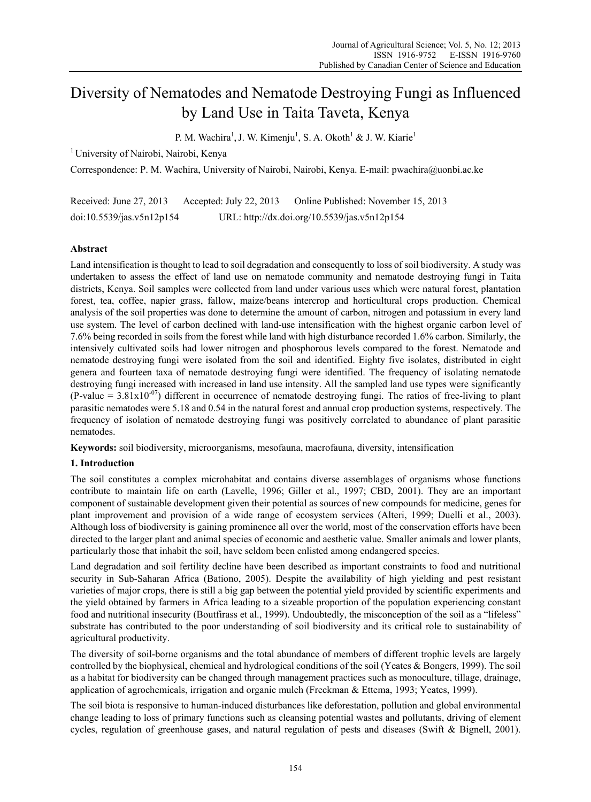# Diversity of Nematodes and Nematode Destroying Fungi as Influenced by Land Use in Taita Taveta, Kenya

P. M. Wachira<sup>1</sup>, J. W. Kimenju<sup>1</sup>, S. A. Okoth<sup>1</sup> & J. W. Kiarie<sup>1</sup>

<sup>1</sup> University of Nairobi, Nairobi, Kenya

Correspondence: P. M. Wachira, University of Nairobi, Nairobi, Kenya. E-mail: pwachira@uonbi.ac.ke

Received: June 27, 2013 Accepted: July 22, 2013 Online Published: November 15, 2013 doi:10.5539/jas.v5n12p154 URL: http://dx.doi.org/10.5539/jas.v5n12p154

# **Abstract**

Land intensification is thought to lead to soil degradation and consequently to loss of soil biodiversity. A study was undertaken to assess the effect of land use on nematode community and nematode destroying fungi in Taita districts, Kenya. Soil samples were collected from land under various uses which were natural forest, plantation forest, tea, coffee, napier grass, fallow, maize/beans intercrop and horticultural crops production. Chemical analysis of the soil properties was done to determine the amount of carbon, nitrogen and potassium in every land use system. The level of carbon declined with land-use intensification with the highest organic carbon level of 7.6% being recorded in soils from the forest while land with high disturbance recorded 1.6% carbon. Similarly, the intensively cultivated soils had lower nitrogen and phosphorous levels compared to the forest. Nematode and nematode destroying fungi were isolated from the soil and identified. Eighty five isolates, distributed in eight genera and fourteen taxa of nematode destroying fungi were identified. The frequency of isolating nematode destroying fungi increased with increased in land use intensity. All the sampled land use types were significantly  $(P-value = 3.81 \times 10^{-07})$  different in occurrence of nematode destroying fungi. The ratios of free-living to plant parasitic nematodes were 5.18 and 0.54 in the natural forest and annual crop production systems, respectively. The frequency of isolation of nematode destroying fungi was positively correlated to abundance of plant parasitic nematodes.

**Keywords:** soil biodiversity, microorganisms, mesofauna, macrofauna, diversity, intensification

# **1. Introduction**

The soil constitutes a complex microhabitat and contains diverse assemblages of organisms whose functions contribute to maintain life on earth (Lavelle, 1996; Giller et al., 1997; CBD, 2001). They are an important component of sustainable development given their potential as sources of new compounds for medicine, genes for plant improvement and provision of a wide range of ecosystem services (Alteri, 1999; Duelli et al., 2003). Although loss of biodiversity is gaining prominence all over the world, most of the conservation efforts have been directed to the larger plant and animal species of economic and aesthetic value. Smaller animals and lower plants, particularly those that inhabit the soil, have seldom been enlisted among endangered species.

Land degradation and soil fertility decline have been described as important constraints to food and nutritional security in Sub-Saharan Africa (Bationo, 2005). Despite the availability of high yielding and pest resistant varieties of major crops, there is still a big gap between the potential yield provided by scientific experiments and the yield obtained by farmers in Africa leading to a sizeable proportion of the population experiencing constant food and nutritional insecurity (Boutfirass et al., 1999). Undoubtedly, the misconception of the soil as a "lifeless" substrate has contributed to the poor understanding of soil biodiversity and its critical role to sustainability of agricultural productivity.

The diversity of soil-borne organisms and the total abundance of members of different trophic levels are largely controlled by the biophysical, chemical and hydrological conditions of the soil (Yeates & Bongers, 1999). The soil as a habitat for biodiversity can be changed through management practices such as monoculture, tillage, drainage, application of agrochemicals, irrigation and organic mulch (Freckman & Ettema, 1993; Yeates, 1999).

The soil biota is responsive to human-induced disturbances like deforestation, pollution and global environmental change leading to loss of primary functions such as cleansing potential wastes and pollutants, driving of element cycles, regulation of greenhouse gases, and natural regulation of pests and diseases (Swift & Bignell, 2001).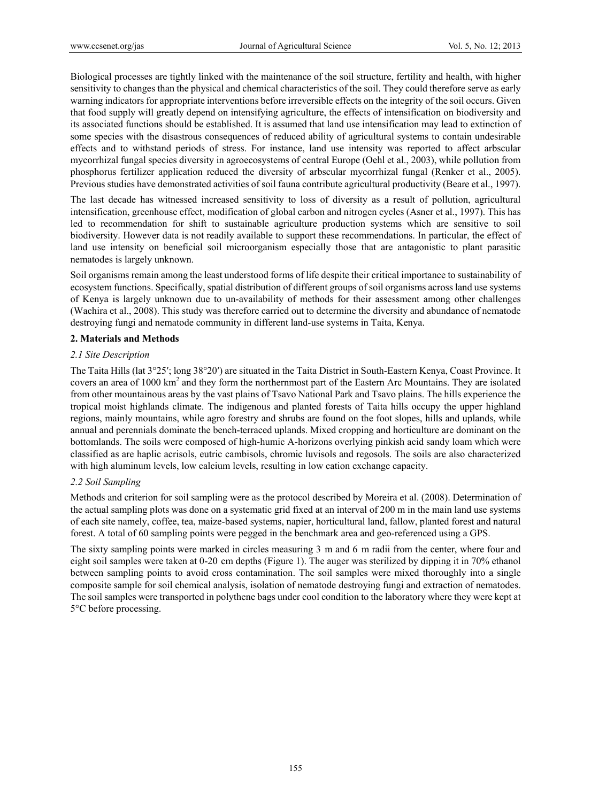Biological processes are tightly linked with the maintenance of the soil structure, fertility and health, with higher sensitivity to changes than the physical and chemical characteristics of the soil. They could therefore serve as early warning indicators for appropriate interventions before irreversible effects on the integrity of the soil occurs. Given that food supply will greatly depend on intensifying agriculture, the effects of intensification on biodiversity and its associated functions should be established. It is assumed that land use intensification may lead to extinction of some species with the disastrous consequences of reduced ability of agricultural systems to contain undesirable effects and to withstand periods of stress. For instance, land use intensity was reported to affect arbscular mycorrhizal fungal species diversity in agroecosystems of central Europe (Oehl et al., 2003), while pollution from phosphorus fertilizer application reduced the diversity of arbscular mycorrhizal fungal (Renker et al., 2005). Previous studies have demonstrated activities of soil fauna contribute agricultural productivity (Beare et al., 1997).

The last decade has witnessed increased sensitivity to loss of diversity as a result of pollution, agricultural intensification, greenhouse effect, modification of global carbon and nitrogen cycles (Asner et al., 1997). This has led to recommendation for shift to sustainable agriculture production systems which are sensitive to soil biodiversity. However data is not readily available to support these recommendations. In particular, the effect of land use intensity on beneficial soil microorganism especially those that are antagonistic to plant parasitic nematodes is largely unknown.

Soil organisms remain among the least understood forms of life despite their critical importance to sustainability of ecosystem functions. Specifically, spatial distribution of different groups of soil organisms across land use systems of Kenya is largely unknown due to un-availability of methods for their assessment among other challenges (Wachira et al., 2008). This study was therefore carried out to determine the diversity and abundance of nematode destroying fungi and nematode community in different land-use systems in Taita, Kenya.

# **2. Materials and Methods**

# *2.1 Site Description*

The Taita Hills (lat 3°25′; long 38°20′) are situated in the Taita District in South-Eastern Kenya, Coast Province. It covers an area of 1000  $km^2$  and they form the northernmost part of the Eastern Arc Mountains. They are isolated from other mountainous areas by the vast plains of Tsavo National Park and Tsavo plains. The hills experience the tropical moist highlands climate. The indigenous and planted forests of Taita hills occupy the upper highland regions, mainly mountains, while agro forestry and shrubs are found on the foot slopes, hills and uplands, while annual and perennials dominate the bench-terraced uplands. Mixed cropping and horticulture are dominant on the bottomlands. The soils were composed of high-humic A-horizons overlying pinkish acid sandy loam which were classified as are haplic acrisols, eutric cambisols, chromic luvisols and regosols. The soils are also characterized with high aluminum levels, low calcium levels, resulting in low cation exchange capacity.

# *2.2 Soil Sampling*

Methods and criterion for soil sampling were as the protocol described by Moreira et al. (2008). Determination of the actual sampling plots was done on a systematic grid fixed at an interval of 200 m in the main land use systems of each site namely, coffee, tea, maize-based systems, napier, horticultural land, fallow, planted forest and natural forest. A total of 60 sampling points were pegged in the benchmark area and geo-referenced using a GPS.

The sixty sampling points were marked in circles measuring 3 m and 6 m radii from the center, where four and eight soil samples were taken at 0-20 cm depths (Figure 1). The auger was sterilized by dipping it in 70% ethanol between sampling points to avoid cross contamination. The soil samples were mixed thoroughly into a single composite sample for soil chemical analysis, isolation of nematode destroying fungi and extraction of nematodes. The soil samples were transported in polythene bags under cool condition to the laboratory where they were kept at 5°C before processing.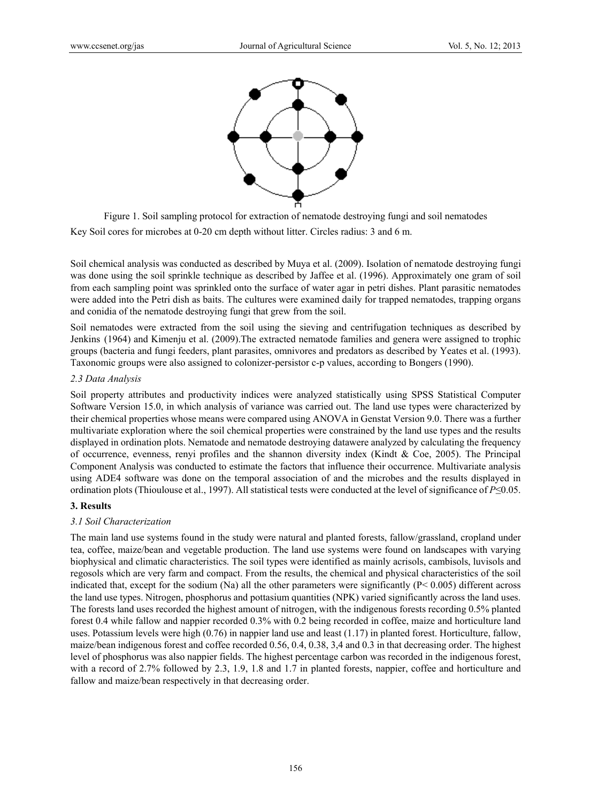

Figure 1. Soil sampling protocol for extraction of nematode destroying fungi and soil nematodes Key Soil cores for microbes at 0-20 cm depth without litter. Circles radius: 3 and 6 m.

Soil chemical analysis was conducted as described by Muya et al. (2009). Isolation of nematode destroying fungi was done using the soil sprinkle technique as described by Jaffee et al. (1996). Approximately one gram of soil from each sampling point was sprinkled onto the surface of water agar in petri dishes. Plant parasitic nematodes were added into the Petri dish as baits. The cultures were examined daily for trapped nematodes, trapping organs and conidia of the nematode destroying fungi that grew from the soil.

Soil nematodes were extracted from the soil using the sieving and centrifugation techniques as described by Jenkins (1964) and Kimenju et al. (2009).The extracted nematode families and genera were assigned to trophic groups (bacteria and fungi feeders, plant parasites, omnivores and predators as described by Yeates et al. (1993). Taxonomic groups were also assigned to colonizer-persistor c-p values, according to Bongers (1990).

#### *2.3 Data Analysis*

Soil property attributes and productivity indices were analyzed statistically using SPSS Statistical Computer Software Version 15.0, in which analysis of variance was carried out. The land use types were characterized by their chemical properties whose means were compared using ANOVA in Genstat Version 9.0. There was a further multivariate exploration where the soil chemical properties were constrained by the land use types and the results displayed in ordination plots. Nematode and nematode destroying datawere analyzed by calculating the frequency of occurrence, evenness, renyi profiles and the shannon diversity index (Kindt & Coe, 2005). The Principal Component Analysis was conducted to estimate the factors that influence their occurrence. Multivariate analysis using ADE4 software was done on the temporal association of and the microbes and the results displayed in ordination plots (Thioulouse et al., 1997). All statistical tests were conducted at the level of significance of *P*≤0.05.

#### **3. Results**

#### *3.1 Soil Characterization*

The main land use systems found in the study were natural and planted forests, fallow/grassland, cropland under tea, coffee, maize/bean and vegetable production. The land use systems were found on landscapes with varying biophysical and climatic characteristics. The soil types were identified as mainly acrisols, cambisols, luvisols and regosols which are very farm and compact. From the results, the chemical and physical characteristics of the soil indicated that, except for the sodium (Na) all the other parameters were significantly ( $P < 0.005$ ) different across the land use types. Nitrogen, phosphorus and pottasium quantities (NPK) varied significantly across the land uses. The forests land uses recorded the highest amount of nitrogen, with the indigenous forests recording 0.5% planted forest 0.4 while fallow and nappier recorded 0.3% with 0.2 being recorded in coffee, maize and horticulture land uses. Potassium levels were high (0.76) in nappier land use and least (1.17) in planted forest. Horticulture, fallow, maize/bean indigenous forest and coffee recorded 0.56, 0.4, 0.38, 3,4 and 0.3 in that decreasing order. The highest level of phosphorus was also nappier fields. The highest percentage carbon was recorded in the indigenous forest, with a record of 2.7% followed by 2.3, 1.9, 1.8 and 1.7 in planted forests, nappier, coffee and horticulture and fallow and maize/bean respectively in that decreasing order.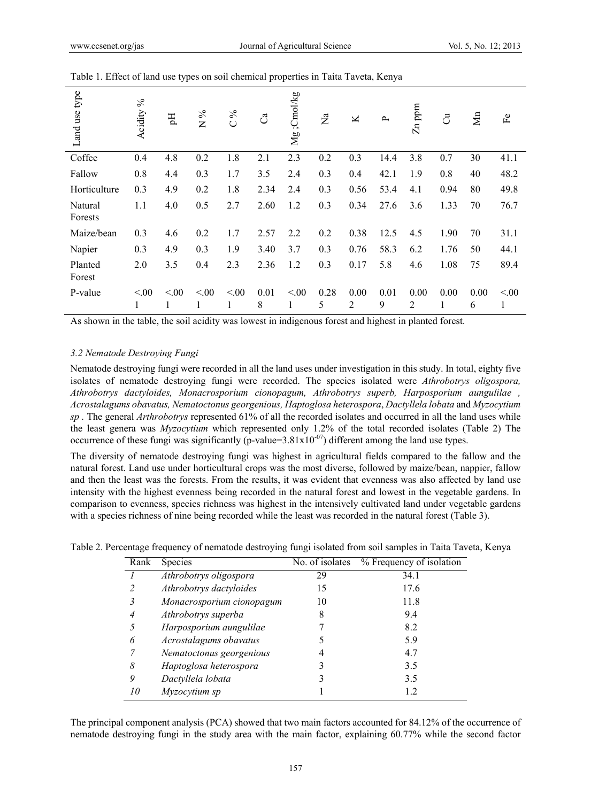| Land use type      | Acidity %  | $H_{\rm q}$ | $\lesssim$ N | $\frac{6}{3}$ | ී         | ;Cmol/kg<br>$\mathbb{N}_g$ | $\sum_{i=1}^{n}$ | M         | $\sim$    | Zn ppm    | ්         | Мn        | $\mathbb{F}^{\mathrm{e}}$ |
|--------------------|------------|-------------|--------------|---------------|-----------|----------------------------|------------------|-----------|-----------|-----------|-----------|-----------|---------------------------|
| Coffee             | 0.4        | 4.8         | 0.2          | 1.8           | 2.1       | 2.3                        | 0.2              | 0.3       | 14.4      | 3.8       | 0.7       | 30        | 41.1                      |
| Fallow             | 0.8        | 4.4         | 0.3          | 1.7           | 3.5       | 2.4                        | 0.3              | 0.4       | 42.1      | 1.9       | 0.8       | 40        | 48.2                      |
| Horticulture       | 0.3        | 4.9         | 0.2          | 1.8           | 2.34      | 2.4                        | 0.3              | 0.56      | 53.4      | 4.1       | 0.94      | 80        | 49.8                      |
| Natural<br>Forests | 1.1        | 4.0         | 0.5          | 2.7           | 2.60      | 1.2                        | 0.3              | 0.34      | 27.6      | 3.6       | 1.33      | 70        | 76.7                      |
| Maize/bean         | 0.3        | 4.6         | 0.2          | 1.7           | 2.57      | 2.2                        | 0.2              | 0.38      | 12.5      | 4.5       | 1.90      | 70        | 31.1                      |
| Napier             | 0.3        | 4.9         | 0.3          | 1.9           | 3.40      | 3.7                        | 0.3              | 0.76      | 58.3      | 6.2       | 1.76      | 50        | 44.1                      |
| Planted<br>Forest  | 2.0        | 3.5         | 0.4          | 2.3           | 2.36      | 1.2                        | 0.3              | 0.17      | 5.8       | 4.6       | 1.08      | 75        | 89.4                      |
| P-value            | &00.5<br>1 | < 00<br>1   | < 00<br>1    | < 00.<br>1    | 0.01<br>8 | < 00.<br>1                 | 0.28<br>5        | 0.00<br>2 | 0.01<br>9 | 0.00<br>2 | 0.00<br>1 | 0.00<br>6 | < 00.5<br>1               |

|  | Table 1. Effect of land use types on soil chemical properties in Taita Taveta, Kenya |  |  |  |
|--|--------------------------------------------------------------------------------------|--|--|--|
|  |                                                                                      |  |  |  |

As shown in the table, the soil acidity was lowest in indigenous forest and highest in planted forest.

#### *3.2 Nematode Destroying Fungi*

Nematode destroying fungi were recorded in all the land uses under investigation in this study. In total, eighty five isolates of nematode destroying fungi were recorded. The species isolated were *Athrobotrys oligospora, Athrobotrys dactyloides, Monacrosporium cionopagum, Athrobotrys superb, Harposporium aungulilae , Acrostalagums obavatus, Nematoctonus georgenious, Haptoglosa heterospora*, *Dactyllela lobata* and *Myzocytium sp .* The general *Arthrobotrys* represented 61% of all the recorded isolates and occurred in all the land uses while the least genera was *Myzocytium* which represented only 1.2% of the total recorded isolates (Table 2) The occurrence of these fungi was significantly (p-value= $3.81 \times 10^{-07}$ ) different among the land use types.

The diversity of nematode destroying fungi was highest in agricultural fields compared to the fallow and the natural forest. Land use under horticultural crops was the most diverse, followed by maize/bean, nappier, fallow and then the least was the forests. From the results, it was evident that evenness was also affected by land use intensity with the highest evenness being recorded in the natural forest and lowest in the vegetable gardens. In comparison to evenness, species richness was highest in the intensively cultivated land under vegetable gardens with a species richness of nine being recorded while the least was recorded in the natural forest (Table 3).

| Rank | Species                   | No. of isolates | % Frequency of isolation |
|------|---------------------------|-----------------|--------------------------|
|      | Athrobotrys oligospora    | 29              | 34.1                     |
|      | Athrobotrys dactyloides   | 15              | 17.6                     |
| 3    | Monacrosporium cionopagum | 10              | 11.8                     |
|      | Athrobotrys superba       | 8               | 9.4                      |
|      | Harposporium aungulilae   |                 | 8.2                      |
| 6    | Acrostalagums obavatus    |                 | 5.9                      |
|      | Nematoctonus georgenious  |                 | 4.7                      |
| 8    | Haptoglosa heterospora    |                 | 3.5                      |
| 9    | Dactyllela lobata         |                 | 3.5                      |
| 10   | Myzocytium sp             |                 | 1.2                      |

Table 2. Percentage frequency of nematode destroying fungi isolated from soil samples in Taita Taveta, Kenya

The principal component analysis (PCA) showed that two main factors accounted for 84.12% of the occurrence of nematode destroying fungi in the study area with the main factor, explaining 60.77% while the second factor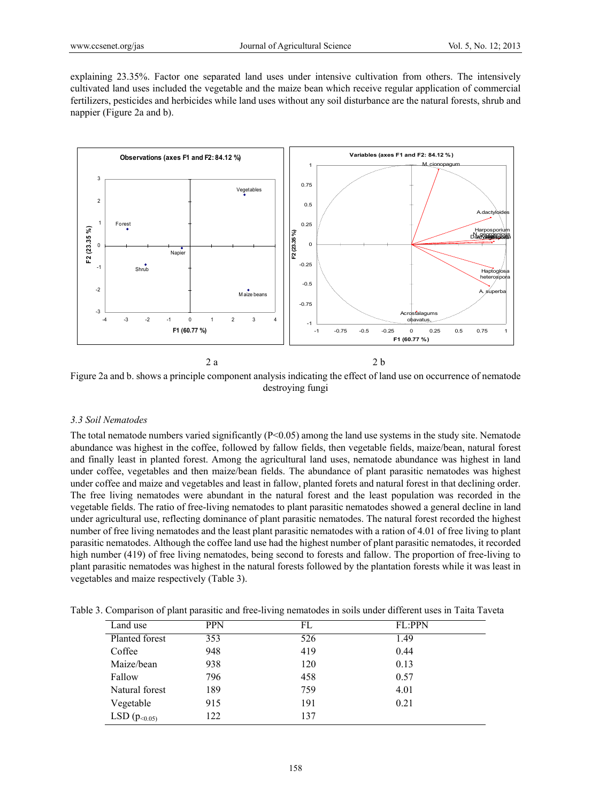explaining 23.35%. Factor one separated land uses under intensive cultivation from others. The intensively cultivated land uses included the vegetable and the maize bean which receive regular application of commercial fertilizers, pesticides and herbicides while land uses without any soil disturbance are the natural forests, shrub and nappier (Figure 2a and b).



Figure 2a and b. shows a principle component analysis indicating the effect of land use on occurrence of nematode destroying fungi

## *3.3 Soil Nematodes*

The total nematode numbers varied significantly  $(P< 0.05)$  among the land use systems in the study site. Nematode abundance was highest in the coffee, followed by fallow fields, then vegetable fields, maize/bean, natural forest and finally least in planted forest. Among the agricultural land uses, nematode abundance was highest in land under coffee, vegetables and then maize/bean fields. The abundance of plant parasitic nematodes was highest under coffee and maize and vegetables and least in fallow, planted forets and natural forest in that declining order. The free living nematodes were abundant in the natural forest and the least population was recorded in the vegetable fields. The ratio of free-living nematodes to plant parasitic nematodes showed a general decline in land under agricultural use, reflecting dominance of plant parasitic nematodes. The natural forest recorded the highest number of free living nematodes and the least plant parasitic nematodes with a ration of 4.01 of free living to plant parasitic nematodes. Although the coffee land use had the highest number of plant parasitic nematodes, it recorded high number (419) of free living nematodes, being second to forests and fallow. The proportion of free-living to plant parasitic nematodes was highest in the natural forests followed by the plantation forests while it was least in vegetables and maize respectively (Table 3).

Table 3. Comparison of plant parasitic and free-living nematodes in soils under different uses in Taita Taveta

| Land use              | <b>PPN</b> | FL  | FL:PPN |
|-----------------------|------------|-----|--------|
| Planted forest        | 353        | 526 | 1.49   |
| Coffee                | 948        | 419 | 0.44   |
| Maize/bean            | 938        | 120 | 0.13   |
| Fallow                | 796        | 458 | 0.57   |
| Natural forest        | 189        | 759 | 4.01   |
| Vegetable             | 915        | 191 | 0.21   |
| LSD $(p_{\leq 0.05})$ | 122        | 137 |        |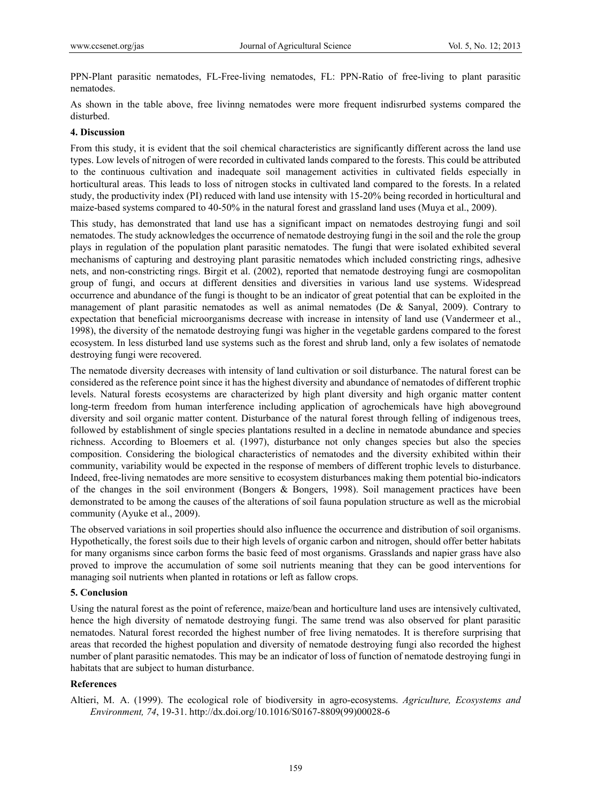PPN-Plant parasitic nematodes, FL-Free-living nematodes, FL: PPN-Ratio of free-living to plant parasitic nematodes.

As shown in the table above, free livinng nematodes were more frequent indisrurbed systems compared the disturbed.

#### **4. Discussion**

From this study, it is evident that the soil chemical characteristics are significantly different across the land use types. Low levels of nitrogen of were recorded in cultivated lands compared to the forests. This could be attributed to the continuous cultivation and inadequate soil management activities in cultivated fields especially in horticultural areas. This leads to loss of nitrogen stocks in cultivated land compared to the forests. In a related study, the productivity index (PI) reduced with land use intensity with 15-20% being recorded in horticultural and maize-based systems compared to 40-50% in the natural forest and grassland land uses (Muya et al., 2009).

This study, has demonstrated that land use has a significant impact on nematodes destroying fungi and soil nematodes. The study acknowledges the occurrence of nematode destroying fungi in the soil and the role the group plays in regulation of the population plant parasitic nematodes. The fungi that were isolated exhibited several mechanisms of capturing and destroying plant parasitic nematodes which included constricting rings, adhesive nets, and non-constricting rings. Birgit et al. (2002), reported that nematode destroying fungi are cosmopolitan group of fungi, and occurs at different densities and diversities in various land use systems. Widespread occurrence and abundance of the fungi is thought to be an indicator of great potential that can be exploited in the management of plant parasitic nematodes as well as animal nematodes (De & Sanyal, 2009). Contrary to expectation that beneficial microorganisms decrease with increase in intensity of land use (Vandermeer et al., 1998), the diversity of the nematode destroying fungi was higher in the vegetable gardens compared to the forest ecosystem. In less disturbed land use systems such as the forest and shrub land, only a few isolates of nematode destroying fungi were recovered.

The nematode diversity decreases with intensity of land cultivation or soil disturbance. The natural forest can be considered as the reference point since it has the highest diversity and abundance of nematodes of different trophic levels. Natural forests ecosystems are characterized by high plant diversity and high organic matter content long-term freedom from human interference including application of agrochemicals have high aboveground diversity and soil organic matter content. Disturbance of the natural forest through felling of indigenous trees, followed by establishment of single species plantations resulted in a decline in nematode abundance and species richness. According to Bloemers et al. (1997), disturbance not only changes species but also the species composition. Considering the biological characteristics of nematodes and the diversity exhibited within their community, variability would be expected in the response of members of different trophic levels to disturbance. Indeed, free-living nematodes are more sensitive to ecosystem disturbances making them potential bio-indicators of the changes in the soil environment (Bongers & Bongers, 1998). Soil management practices have been demonstrated to be among the causes of the alterations of soil fauna population structure as well as the microbial community (Ayuke et al., 2009).

The observed variations in soil properties should also influence the occurrence and distribution of soil organisms. Hypothetically, the forest soils due to their high levels of organic carbon and nitrogen, should offer better habitats for many organisms since carbon forms the basic feed of most organisms. Grasslands and napier grass have also proved to improve the accumulation of some soil nutrients meaning that they can be good interventions for managing soil nutrients when planted in rotations or left as fallow crops.

## **5. Conclusion**

Using the natural forest as the point of reference, maize/bean and horticulture land uses are intensively cultivated, hence the high diversity of nematode destroying fungi. The same trend was also observed for plant parasitic nematodes. Natural forest recorded the highest number of free living nematodes. It is therefore surprising that areas that recorded the highest population and diversity of nematode destroying fungi also recorded the highest number of plant parasitic nematodes. This may be an indicator of loss of function of nematode destroying fungi in habitats that are subject to human disturbance.

## **References**

Altieri, M. A. (1999). The ecological role of biodiversity in agro-ecosystems. *Agriculture, Ecosystems and Environment, 74*, 19-31. http://dx.doi.org/10.1016/S0167-8809(99)00028-6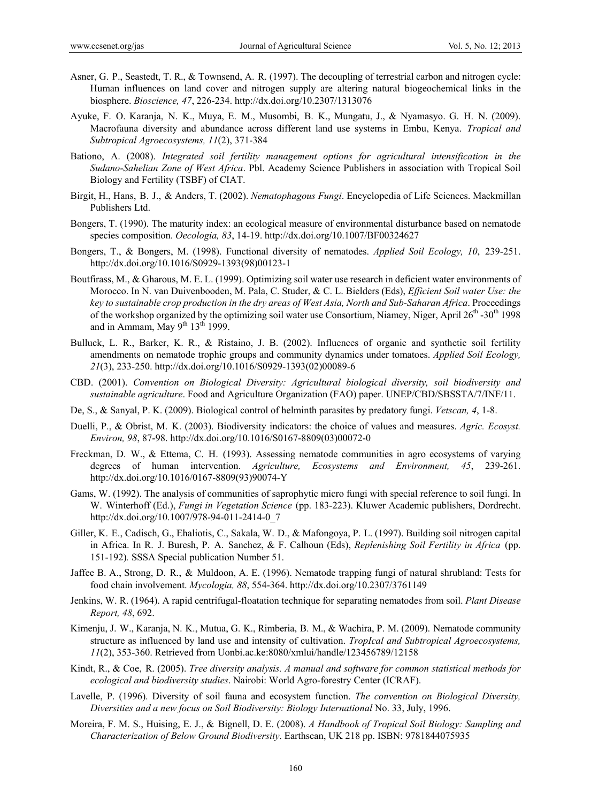- Asner, G. P., Seastedt, T. R., & Townsend, A. R. (1997). The decoupling of terrestrial carbon and nitrogen cycle: Human influences on land cover and nitrogen supply are altering natural biogeochemical links in the biosphere. *Bioscience, 47*, 226-234. http://dx.doi.org/10.2307/1313076
- Ayuke, F. O. Karanja, N. K., Muya, E. M., Musombi, B. K., Mungatu, J., & Nyamasyo. G. H. N. (2009). Macrofauna diversity and abundance across different land use systems in Embu, Kenya. *Tropical and Subtropical Agroecosystems, 11*(2), 371-384
- Bationo, A. (2008). *Integrated soil fertility management options for agricultural intensification in the Sudano-Sahelian Zone of West Africa*. Pbl. Academy Science Publishers in association with Tropical Soil Biology and Fertility (TSBF) of CIAT.
- Birgit, H., Hans, B. J., & Anders, T. (2002). *Nematophagous Fungi*. Encyclopedia of Life Sciences. Mackmillan Publishers Ltd.
- Bongers, T. (1990). The maturity index: an ecological measure of environmental disturbance based on nematode species composition. *Oecologia, 83*, 14-19. http://dx.doi.org/10.1007/BF00324627
- Bongers, T., & Bongers, M. (1998). Functional diversity of nematodes. *Applied Soil Ecology, 10*, 239-251. http://dx.doi.org/10.1016/S0929-1393(98)00123-1
- Boutfirass, M., & Gharous, M. E. L. (1999). Optimizing soil water use research in deficient water environments of Morocco. In N. van Duivenbooden, M. Pala, C. Studer, & C. L. Bielders (Eds), *Efficient Soil water Use: the key to sustainable crop production in the dry areas of West Asia, North and Sub-Saharan Africa*. Proceedings of the workshop organized by the optimizing soil water use Consortium, Niamey, Niger, April  $26<sup>th</sup> - 30<sup>th</sup> 1998$ and in Ammam, May  $9<sup>th</sup> 13<sup>th</sup> 1999$ .
- Bulluck, L. R., Barker, K. R., & Ristaino, J. B. (2002). Influences of organic and synthetic soil fertility amendments on nematode trophic groups and community dynamics under tomatoes. *Applied Soil Ecology, 21*(3), 233-250. http://dx.doi.org/10.1016/S0929-1393(02)00089-6
- CBD. (2001). *Convention on Biological Diversity: Agricultural biological diversity, soil biodiversity and sustainable agriculture*. Food and Agriculture Organization (FAO) paper. UNEP/CBD/SBSSTA/7/INF/11.
- De, S., & Sanyal, P. K. (2009). Biological control of helminth parasites by predatory fungi. *Vetscan, 4*, 1-8.
- Duelli, P., & Obrist, M. K. (2003). Biodiversity indicators: the choice of values and measures. *Agric. Ecosyst. Environ, 98*, 87-98. http://dx.doi.org/10.1016/S0167-8809(03)00072-0
- Freckman, D. W., & Ettema, C. H. (1993). Assessing nematode communities in agro ecosystems of varying degrees of human intervention. *Agriculture, Ecosystems and Environment, 45*, 239-261. http://dx.doi.org/10.1016/0167-8809(93)90074-Y
- Gams, W. (1992). The analysis of communities of saprophytic micro fungi with special reference to soil fungi. In W. Winterhoff (Ed.), *Fungi in Vegetation Science* (pp. 183-223). Kluwer Academic publishers, Dordrecht. http://dx.doi.org/10.1007/978-94-011-2414-0\_7
- Giller, K. E., Cadisch, G., Ehaliotis, C., Sakala, W. D., & Mafongoya, P. L. (1997). Building soil nitrogen capital in Africa. In R. J. Buresh, P. A. Sanchez, & F. Calhoun (Eds), *Replenishing Soil Fertility in Africa* (pp. 151-192)*.* SSSA Special publication Number 51.
- Jaffee B. A., Strong, D. R., & Muldoon, A. E. (1996). Nematode trapping fungi of natural shrubland: Tests for food chain involvement. *Mycologia, 88*, 554-364. http://dx.doi.org/10.2307/3761149
- Jenkins, W. R. (1964). A rapid centrifugal-floatation technique for separating nematodes from soil. *Plant Disease Report, 48*, 692.
- Kimenju, J. W., Karanja, N. K., Mutua, G. K., Rimberia, B. M., & Wachira, P. M. (2009). Nematode community structure as influenced by land use and intensity of cultivation. *TropIcal and Subtropical Agroecosystems, 11*(2), 353-360. Retrieved from Uonbi.ac.ke:8080/xmlui/handle/123456789/12158
- Kindt, R., & Coe, R. (2005). *Tree diversity analysis. A manual and software for common statistical methods for ecological and biodiversity studies*. Nairobi: World Agro-forestry Center (ICRAF).
- Lavelle, P. (1996). Diversity of soil fauna and ecosystem function. *The convention on Biological Diversity, Diversities and a new focus on Soil Biodiversity: Biology International* No. 33, July, 1996.
- Moreira, F. M. S., Huising, E. J., & Bignell, D. E. (2008). *A Handbook of Tropical Soil Biology: Sampling and Characterization of Below Ground Biodiversity*. Earthscan, UK 218 pp. ISBN: 9781844075935